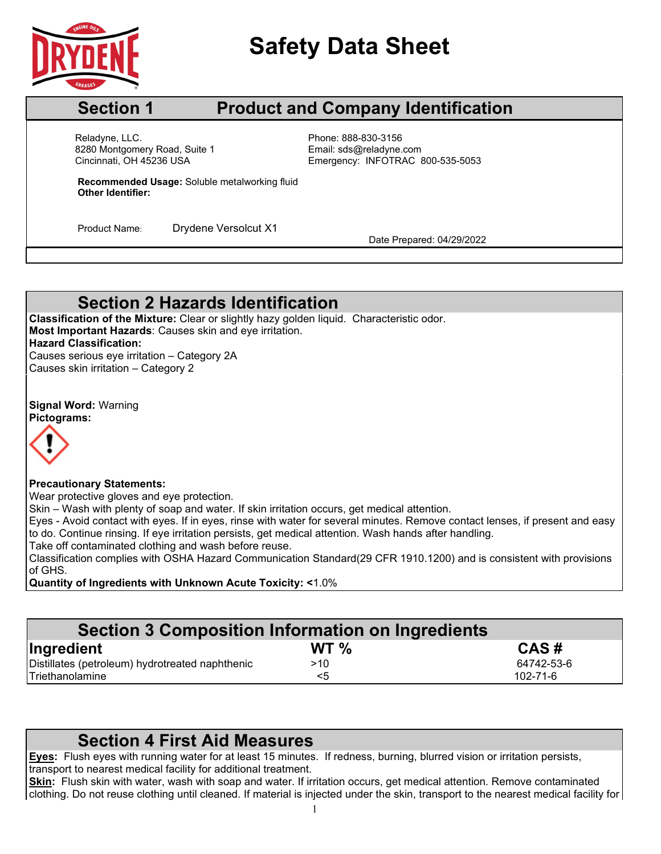

# **Safety Data Sheet**

### **Section 1 Product and Company Identification**

Cincinnati, OH 45236 USA Reladyne, LLC.<br>
8280 Montgomery Road, Suite 1 entitled by Phone: 888-830-3156<br>
Email: sds@reladyne.com 8280 Montgomery Road, Suite 1

Emergency: INFOTRAC 800-535-5053

**Recommended Usage:** Soluble metalworking fluid **Other Identifier:**

Product Name: Drydene Versolcut X1 Date Prepared: 04/29/2022

## **Section 2 Hazards Identification**

**Classification of the Mixture:** Clear or slightly hazy golden liquid. Characteristic odor. **Most Important Hazards**: Causes skin and eye irritation. **Hazard Classification:** Causes serious eye irritation – Category 2A

Causes skin irritation – Category 2

**Signal Word:** Warning **Pictograms:**



#### **Precautionary Statements:**

Wear protective gloves and eye protection.

Skin – Wash with plenty of soap and water. If skin irritation occurs, get medical attention.

Eyes - Avoid contact with eyes. If in eyes, rinse with water for several minutes. Remove contact lenses, if present and easy to do. Continue rinsing. If eye irritation persists, get medical attention. Wash hands after handling.

Take off contaminated clothing and wash before reuse.

Classification complies with OSHA Hazard Communication Standard(29 CFR 1910.1200) and is consistent with provisions of GHS.

**Quantity of Ingredients with Unknown Acute Toxicity: <**1.0%

| Section 3 Composition Information on Ingredients |                 |                |  |  |  |
|--------------------------------------------------|-----------------|----------------|--|--|--|
| Ingredient                                       | WT <sub>%</sub> | CAS#           |  |  |  |
| Distillates (petroleum) hydrotreated naphthenic  | >10             | 64742-53-6     |  |  |  |
| Triethanolamine                                  | <5              | $102 - 71 - 6$ |  |  |  |

#### **Section 4 First Aid Measures**

**Eyes:** Flush eyes with running water for at least 15 minutes. If redness, burning, blurred vision or irritation persists, transport to nearest medical facility for additional treatment.

**Skin:** Flush skin with water, wash with soap and water. If irritation occurs, get medical attention. Remove contaminated clothing. Do not reuse clothing until cleaned. If material is injected under the skin, transport to the nearest medical facility for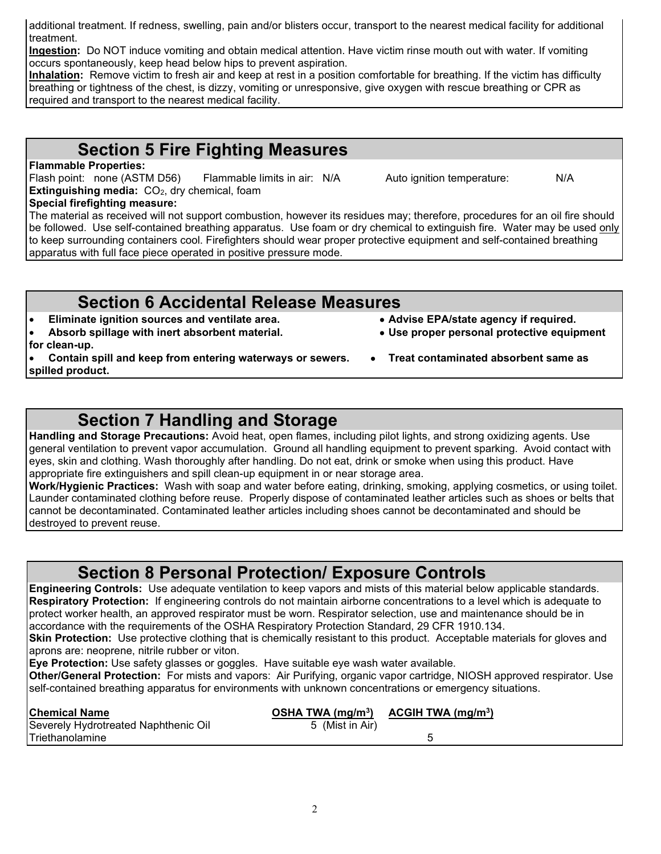$\mathfrak{D}$ 

additional treatment. If redness, swelling, pain and/or blisters occur, transport to the nearest medical facility for additional treatment.

**Ingestion:** Do NOT induce vomiting and obtain medical attention. Have victim rinse mouth out with water. If vomiting occurs spontaneously, keep head below hips to prevent aspiration.

**Inhalation:** Remove victim to fresh air and keep at rest in a position comfortable for breathing. If the victim has difficulty breathing or tightness of the chest, is dizzy, vomiting or unresponsive, give oxygen with rescue breathing or CPR as required and transport to the nearest medical facility.

## **Section 5 Fire Fighting Measures**

#### **Flammable Properties:**

Flash point: none (ASTM D56) Flammable limits in air: N/A Auto ignition temperature: N/A **Extinguishing media:** CO<sub>2</sub>, dry chemical, foam

#### **Special firefighting measure:**

The material as received will not support combustion, however its residues may; therefore, procedures for an oil fire should be followed. Use self-contained breathing apparatus. Use foam or dry chemical to extinguish fire. Water may be used only to keep surrounding containers cool. Firefighters should wear proper protective equipment and self-contained breathing apparatus with full face piece operated in positive pressure mode.

# **Section 6 Accidental Release Measures**<br> **Section** sources and ventilate area.<br>
• Advise EPA/state agency if required.

- **•** Eliminate ignition sources and ventilate area.
- **Absorb spillage with inert absorbent material. Use proper personal protective equipment**
- **for clean-up.**
- **Contain spill and keep from entering waterways or sewers. Treat contaminated absorbent same as spilled product.**

## **Section 7 Handling and Storage**

**Handling and Storage Precautions:** Avoid heat, open flames, including pilot lights, and strong oxidizing agents. Use general ventilation to prevent vapor accumulation. Ground all handling equipment to prevent sparking. Avoid contact with eyes, skin and clothing. Wash thoroughly after handling. Do not eat, drink or smoke when using this product. Have appropriate fire extinguishers and spill clean-up equipment in or near storage area.

**Work/Hygienic Practices:** Wash with soap and water before eating, drinking, smoking, applying cosmetics, or using toilet. Launder contaminated clothing before reuse. Properly dispose of contaminated leather articles such as shoes or belts that cannot be decontaminated. Contaminated leather articles including shoes cannot be decontaminated and should be destroyed to prevent reuse.

## **Section 8 Personal Protection/ Exposure Controls**

**Engineering Controls:** Use adequate ventilation to keep vapors and mists of this material below applicable standards. **Respiratory Protection:** If engineering controls do not maintain airborne concentrations to a level which is adequate to protect worker health, an approved respirator must be worn. Respirator selection, use and maintenance should be in accordance with the requirements of the OSHA Respiratory Protection Standard, 29 CFR 1910.134.

**Skin Protection:** Use protective clothing that is chemically resistant to this product. Acceptable materials for gloves and aprons are: neoprene, nitrile rubber or viton.

**Eye Protection:** Use safety glasses or goggles. Have suitable eye wash water available.

**Other/General Protection:** For mists and vapors: Air Purifying, organic vapor cartridge, NIOSH approved respirator. Use self-contained breathing apparatus for environments with unknown concentrations or emergency situations.

| <b>Chemical Name</b>                 | OSHA TWA $(mg/m3)$ | ACGIH TWA (mg/m <sup>3</sup> ) |  |
|--------------------------------------|--------------------|--------------------------------|--|
| Severely Hydrotreated Naphthenic Oil | 5 (Mist in Air)    |                                |  |
| Triethanolamine                      |                    |                                |  |

- 
- 
- 
- -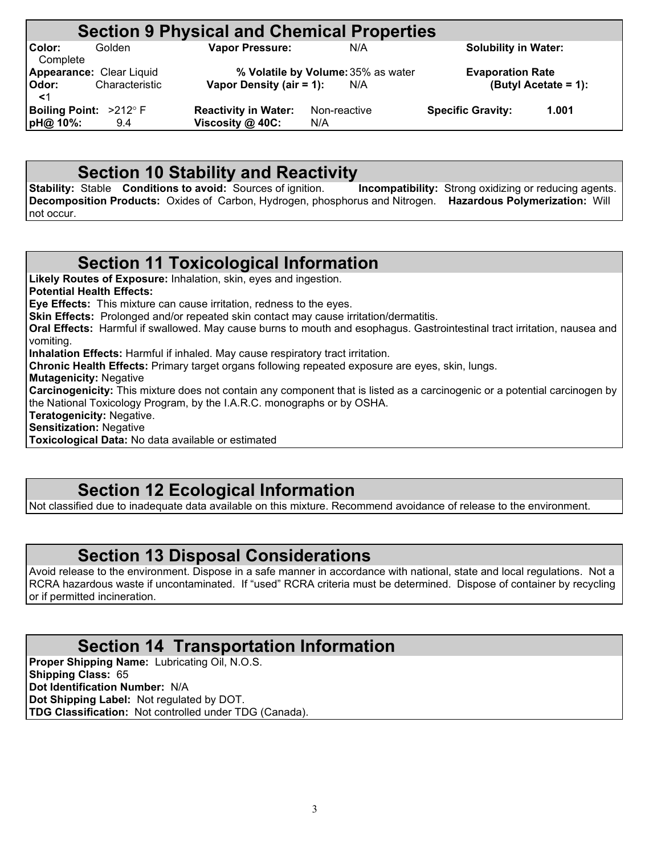|                          |                | <b>Section 9 Physical and Chemical Properties</b> |                                    |                             |                      |
|--------------------------|----------------|---------------------------------------------------|------------------------------------|-----------------------------|----------------------|
| Color:<br>Complete       | Golden         | <b>Vapor Pressure:</b>                            | N/A                                | <b>Solubility in Water:</b> |                      |
| Appearance: Clear Liquid |                |                                                   | % Volatile by Volume: 35% as water | <b>Evaporation Rate</b>     |                      |
| Odor:<br>$<$ 1           | Characteristic | Vapor Density (air = 1):                          | N/A                                |                             | (Butyl Acetate = 1): |
| Boiling Point: >212° F   |                | <b>Reactivity in Water:</b>                       | Non-reactive                       | <b>Specific Gravity:</b>    | 1.001                |
| pH@ 10%:                 | 9.4            | Viscosity @ 40C:                                  | N/A                                |                             |                      |

**Section 10 Stability and Reactivity**<br>Stable Conditions to avoid: Sources of ignition. Incompatibility: Strong oxidizing or reducing agents. **Stability: Stable Conditions to avoid: Sources of ignition. Decomposition Products:** Oxides of Carbon, Hydrogen, phosphorus and Nitrogen. **Hazardous Polymerization:** Will not occur.

#### **Section 11 Toxicological Information**

**Likely Routes of Exposure:** Inhalation, skin, eyes and ingestion. **Potential Health Effects: Eye Effects:** This mixture can cause irritation, redness to the eyes. **Skin Effects:** Prolonged and/or repeated skin contact may cause irritation/dermatitis. **Oral Effects:** Harmful if swallowed. May cause burns to mouth and esophagus. Gastrointestinal tract irritation, nausea and vomiting. **Inhalation Effects:** Harmful if inhaled. May cause respiratory tract irritation. **Chronic Health Effects:** Primary target organs following repeated exposure are eyes, skin, lungs. **Mutagenicity:** Negative **Carcinogenicity:** This mixture does not contain any component that is listed as a carcinogenic or a potential carcinogen by the National Toxicology Program, by the I.A.R.C. monographs or by OSHA. **Teratogenicity:** Negative. **Sensitization:** Negative

**Toxicological Data:** No data available or estimated

## **Section 12 Ecological Information**

Not classified due to inadequate data available on this mixture. Recommend avoidance of release to the environment.

#### **Section 13 Disposal Considerations**

Avoid release to the environment. Dispose in a safe manner in accordance with national, state and local regulations. Not a RCRA hazardous waste if uncontaminated. If "used" RCRA criteria must be determined. Dispose of container by recycling or if permitted incineration.

#### **Section 14 Transportation Information**

**Proper Shipping Name:** Lubricating Oil, N.O.S. **Shipping Class:** 65 **Dot Identification Number:** N/A **Dot Shipping Label:** Not regulated by DOT. **TDG Classification:** Not controlled under TDG (Canada).